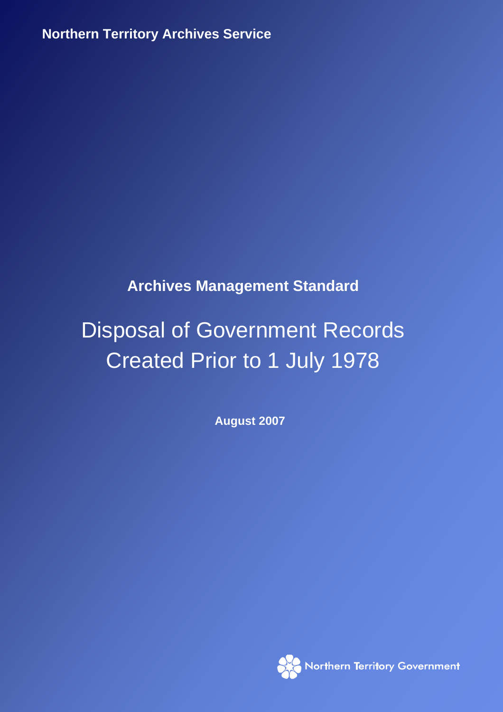**Northern Territory Archives Service**

# **Archives Management Standard**

# Disposal of Government Records Created Prior to 1 July 1978

**August 2007** 

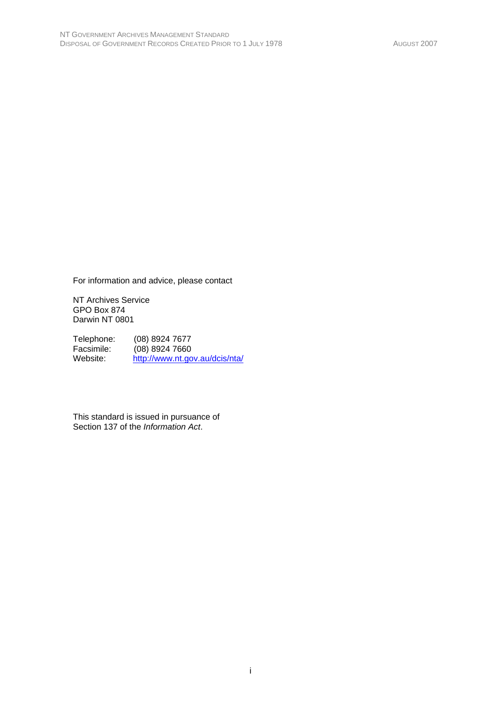For information and advice, please contact

NT Archives Service GPO Box 874 Darwin NT 0801

Telephone: (08) 8924 7677<br>Facsimile: (08) 8924 7660 Facsimile: (08) 8924 7660<br>Website: http://www.nt.go http://www.nt.gov.au/dcis/nta/

This standard is issued in pursuance of Section 137 of the *Information Act*.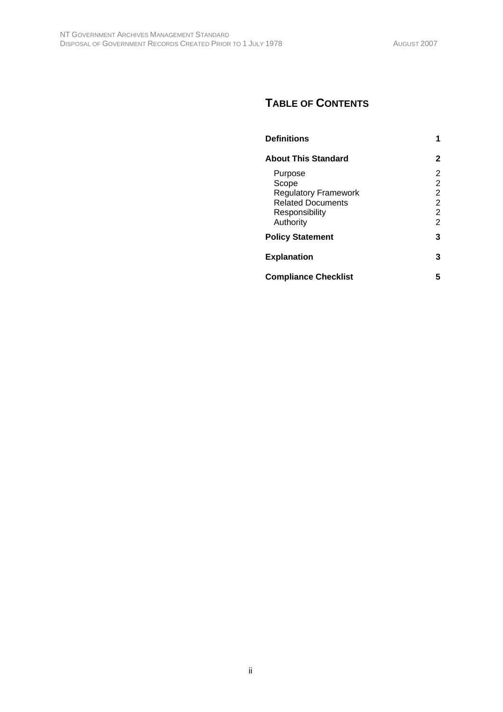# **TABLE OF CONTENTS**

| <b>Definitions</b>                                                                                         | 1                                                    |
|------------------------------------------------------------------------------------------------------------|------------------------------------------------------|
| <b>About This Standard</b>                                                                                 | 2                                                    |
| Purpose<br>Scope<br><b>Regulatory Framework</b><br><b>Related Documents</b><br>Responsibility<br>Authority | 2<br>2<br>$\overline{2}$<br>2<br>2<br>$\mathfrak{p}$ |
| <b>Policy Statement</b>                                                                                    | 3                                                    |
| <b>Explanation</b>                                                                                         | 3                                                    |
| <b>Compliance Checklist</b>                                                                                | 5                                                    |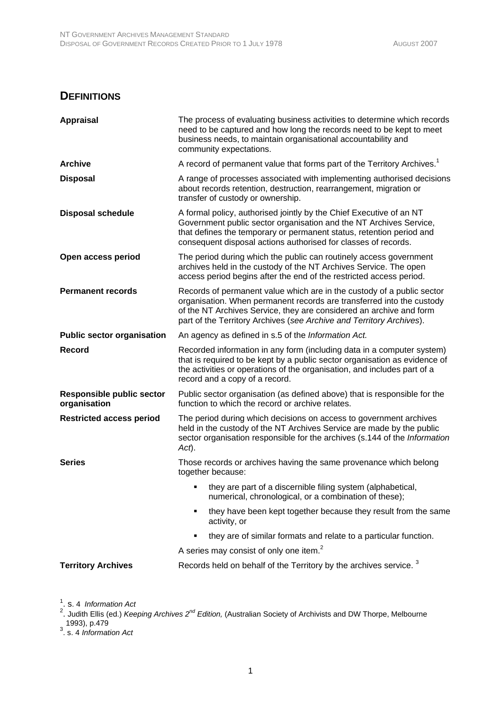#### **DEFINITIONS**

| <b>Appraisal</b>                                 | The process of evaluating business activities to determine which records<br>need to be captured and how long the records need to be kept to meet<br>business needs, to maintain organisational accountability and<br>community expectations.                                                   |  |
|--------------------------------------------------|------------------------------------------------------------------------------------------------------------------------------------------------------------------------------------------------------------------------------------------------------------------------------------------------|--|
| <b>Archive</b>                                   | A record of permanent value that forms part of the Territory Archives. <sup>1</sup>                                                                                                                                                                                                            |  |
| <b>Disposal</b>                                  | A range of processes associated with implementing authorised decisions<br>about records retention, destruction, rearrangement, migration or<br>transfer of custody or ownership.                                                                                                               |  |
| <b>Disposal schedule</b>                         | A formal policy, authorised jointly by the Chief Executive of an NT<br>Government public sector organisation and the NT Archives Service,<br>that defines the temporary or permanent status, retention period and<br>consequent disposal actions authorised for classes of records.            |  |
| Open access period                               | The period during which the public can routinely access government<br>archives held in the custody of the NT Archives Service. The open<br>access period begins after the end of the restricted access period.                                                                                 |  |
| <b>Permanent records</b>                         | Records of permanent value which are in the custody of a public sector<br>organisation. When permanent records are transferred into the custody<br>of the NT Archives Service, they are considered an archive and form<br>part of the Territory Archives (see Archive and Territory Archives). |  |
| <b>Public sector organisation</b>                | An agency as defined in s.5 of the Information Act.                                                                                                                                                                                                                                            |  |
| <b>Record</b>                                    | Recorded information in any form (including data in a computer system)<br>that is required to be kept by a public sector organisation as evidence of<br>the activities or operations of the organisation, and includes part of a<br>record and a copy of a record.                             |  |
| <b>Responsible public sector</b><br>organisation | Public sector organisation (as defined above) that is responsible for the<br>function to which the record or archive relates.                                                                                                                                                                  |  |
| <b>Restricted access period</b>                  | The period during which decisions on access to government archives<br>held in the custody of the NT Archives Service are made by the public<br>sector organisation responsible for the archives (s.144 of the Information<br>Act).                                                             |  |
| <b>Series</b>                                    | Those records or archives having the same provenance which belong<br>together because:                                                                                                                                                                                                         |  |
|                                                  | they are part of a discernible filing system (alphabetical,<br>numerical, chronological, or a combination of these);                                                                                                                                                                           |  |
|                                                  | they have been kept together because they result from the same<br>activity, or                                                                                                                                                                                                                 |  |
|                                                  | they are of similar formats and relate to a particular function.                                                                                                                                                                                                                               |  |
|                                                  | A series may consist of only one item. <sup>2</sup>                                                                                                                                                                                                                                            |  |
| <b>Territory Archives</b>                        | Records held on behalf of the Territory by the archives service. <sup>3</sup>                                                                                                                                                                                                                  |  |

<sup>1</sup>. s. 4 *Information Act*<br><sup>2</sup>. Judith Ellis (ed.) *Keeping Archives 2<sup>nd</sup> Edition,* (Australian Society of Archivists and DW Thorpe, Melbourne 1993), p.479 3 . s. 4 *Information Act*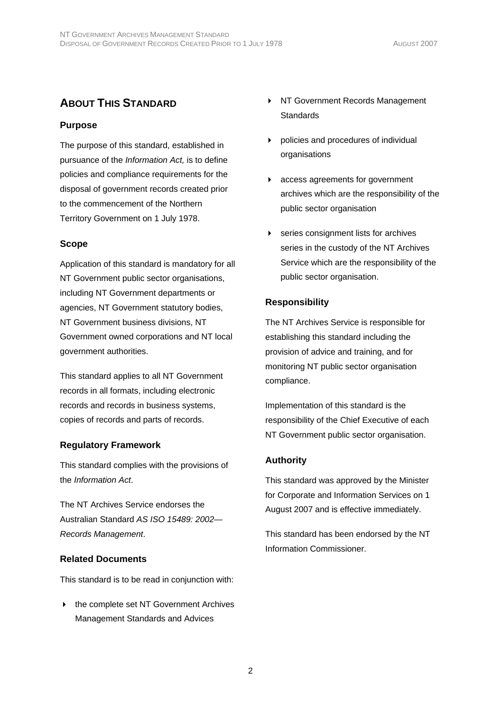# **ABOUT THIS STANDARD**

#### **Purpose**

The purpose of this standard, established in pursuance of the *Information Act,* is to define policies and compliance requirements for the disposal of government records created prior to the commencement of the Northern Territory Government on 1 July 1978.

#### **Scope**

Application of this standard is mandatory for all NT Government public sector organisations, including NT Government departments or agencies, NT Government statutory bodies, NT Government business divisions, NT Government owned corporations and NT local government authorities.

This standard applies to all NT Government records in all formats, including electronic records and records in business systems, copies of records and parts of records.

#### **Regulatory Framework**

This standard complies with the provisions of the *Information Act*.

The NT Archives Service endorses the Australian Standard *AS ISO 15489: 2002— Records Management*.

#### **Related Documents**

This standard is to be read in conjunction with:

 $\triangleright$  the complete set NT Government Archives Management Standards and Advices

- ▶ NT Government Records Management **Standards**
- policies and procedures of individual organisations
- access agreements for government archives which are the responsibility of the public sector organisation
- **EXECUTE:** Series consignment lists for archives series in the custody of the NT Archives Service which are the responsibility of the public sector organisation.

#### **Responsibility**

The NT Archives Service is responsible for establishing this standard including the provision of advice and training, and for monitoring NT public sector organisation compliance.

Implementation of this standard is the responsibility of the Chief Executive of each NT Government public sector organisation.

#### **Authority**

This standard was approved by the Minister for Corporate and Information Services on 1 August 2007 and is effective immediately.

This standard has been endorsed by the NT Information Commissioner.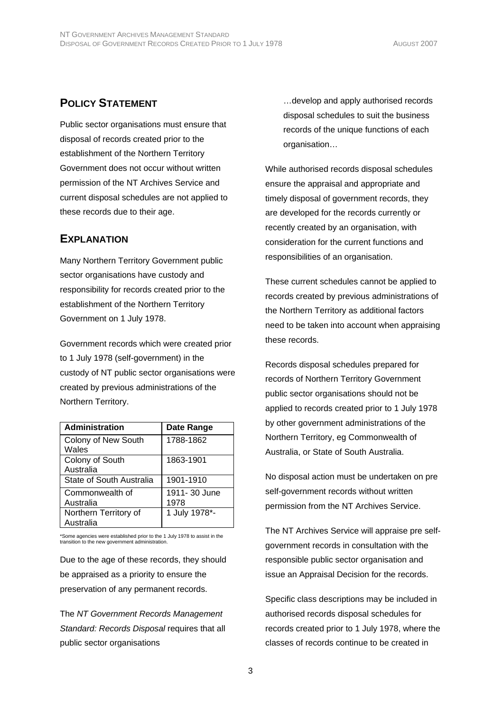#### **POLICY STATEMENT**

Public sector organisations must ensure that disposal of records created prior to the establishment of the Northern Territory Government does not occur without written permission of the NT Archives Service and current disposal schedules are not applied to these records due to their age.

#### **EXPLANATION**

Many Northern Territory Government public sector organisations have custody and responsibility for records created prior to the establishment of the Northern Territory Government on 1 July 1978.

Government records which were created prior to 1 July 1978 (self-government) in the custody of NT public sector organisations were created by previous administrations of the Northern Territory.

| <b>Administration</b>              | Date Range            |
|------------------------------------|-----------------------|
| Colony of New South<br>Wales       | 1788-1862             |
| Colony of South<br>Australia       | 1863-1901             |
| State of South Australia           | 1901-1910             |
| Commonwealth of<br>Australia       | 1911- 30 June<br>1978 |
| Northern Territory of<br>Australia | 1 July 1978*-         |

\*Some agencies were established prior to the 1 July 1978 to assist in the transition to the new government administration.

Due to the age of these records, they should be appraised as a priority to ensure the preservation of any permanent records.

The *NT Government Records Management Standard: Records Disposal* requires that all public sector organisations

…develop and apply authorised records disposal schedules to suit the business records of the unique functions of each organisation…

While authorised records disposal schedules ensure the appraisal and appropriate and timely disposal of government records, they are developed for the records currently or recently created by an organisation, with consideration for the current functions and responsibilities of an organisation.

These current schedules cannot be applied to records created by previous administrations of the Northern Territory as additional factors need to be taken into account when appraising these records.

Records disposal schedules prepared for records of Northern Territory Government public sector organisations should not be applied to records created prior to 1 July 1978 by other government administrations of the Northern Territory, eg Commonwealth of Australia, or State of South Australia.

No disposal action must be undertaken on pre self-government records without written permission from the NT Archives Service.

The NT Archives Service will appraise pre selfgovernment records in consultation with the responsible public sector organisation and issue an Appraisal Decision for the records.

Specific class descriptions may be included in authorised records disposal schedules for records created prior to 1 July 1978, where the classes of records continue to be created in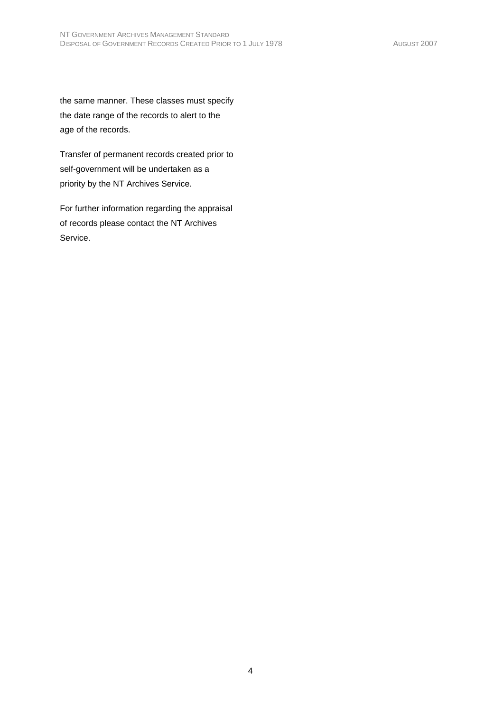the same manner. These classes must specify the date range of the records to alert to the age of the records.

Transfer of permanent records created prior to self-government will be undertaken as a priority by the NT Archives Service.

For further information regarding the appraisal of records please contact the NT Archives Service.